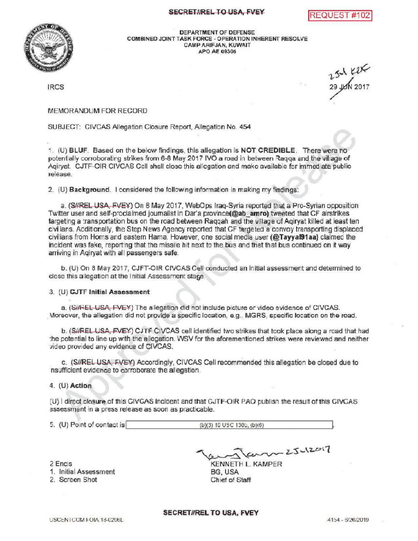## SECRET/IREL TO USA, FVEY REQUEST #1





DEPARTMENT OF DEFENSE COMBINEDJOINTTASKFORCE- OPERATIONINHERENTRESOLVE CAMPARIFJAN, KUWAIT APO AE 09306

**IRCS** 

 $29 \mu m 2017$ 

MEMORANDUM FOR RECORD

SUBJECT: CIVCAS Allegation Closure Report, Allegation No. 454

1. (U) BLUF. Based on the below findings, this allegation is NOT CREDIBLE. There were no potentially corroborating strikes from 6-8 May 2017 IVO a road in between Raqqa and the village of Agiryat. CJTF-OIR CIVCAS Cell shall close this allegation and make available for immediate public release

2. (U) Background. I considered the following information in making my findings:

a. (S#REL USA, FVEY) On 8 May 2017, WebOps Iraq-Syria reported that a Pro-Syrian opposition Twitter user and self-proclaimed journalist in Dar'a province (@ab\_amro) tweeted that CF airstrikes targeting a transportation bus on the road between Raqqah and the village of Agiryat killed at least ten civilians . Additionally , the Step News Agency reported that CF targeted a convoy transporting displaced civilians from Homs and eastern Hama. However, one social media user (@Tayyal91aa) claimed the incident was fake, reporting that the missile hit next to the bus and that that bus continued on it way arriving in Aqiryat with all passengers safe.

b. (U) On 8 May 2017, CJFT-OIR CIVCAS Cell conducted an initial assessment and determined to close this allegation at the Initial Assessment stage.

3. (U) GJTF Initial Assessment

a. (SHREL USA, FVEY) The allegation did not include picture or video evidence of CIVCAS. Moreover, the allegation did not provide a specific location, e.g., MGRS, specific location on the road .

b. (SHREL USA, EVEY) CJTF CIVCAS cell identified two strikes that took place along a road that had the potential to line up with the allegation. WSV for the aforementioned strikes were reviewed and neither video provided any evidence of CIVCAS.

c. (S//REL USA, FVEY) Accordingly, CIVCAS Cell recommended this allegation be closed due to haufficient evidence to corroborate the allegation.

4. (U) Action.

(U) I direct closure of this CIVCAS incident and that CJTF-OIR PAO publish the result of this CIVCAS assessment in a press release as soon as practicable.

| 5. (U) Point of contact is | $(b)(3)$ 10 USC 1300, $(b)(6)$ |  |
|----------------------------|--------------------------------|--|
|                            |                                |  |

2 Encis

1. InitialAssessment

2. Screen Shot

 $60 - 25 - 12017$ 

KENNETH L. KAMPER BG, USA Chief of Staff